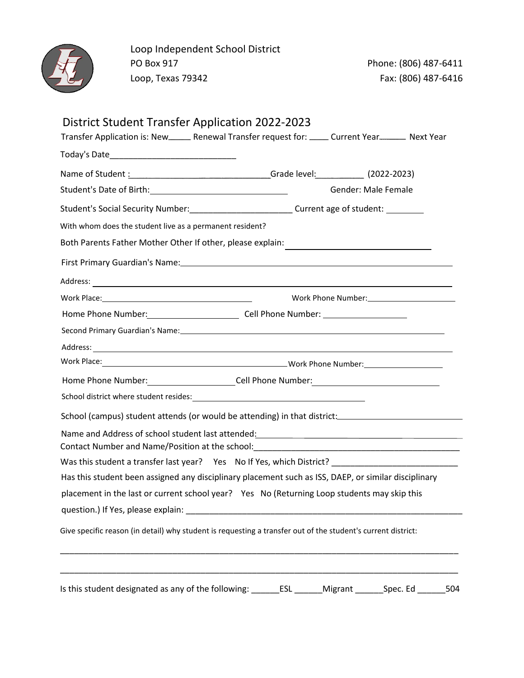

Loop Independent School District PO Box 917 **PO Box 917** Phone: (806) 487-6411 Loop, Texas 79342 **Fax: (806)** 487-6416

| District Student Transfer Application 2022-2023<br>Transfer Application is: New______ Renewal Transfer request for: _____ Current Year_______ Next Year                                                                                |                                                                                               |  |                                              |     |  |
|----------------------------------------------------------------------------------------------------------------------------------------------------------------------------------------------------------------------------------------|-----------------------------------------------------------------------------------------------|--|----------------------------------------------|-----|--|
|                                                                                                                                                                                                                                        |                                                                                               |  |                                              |     |  |
| Name of Student : __________________________________Grade level: (2022-2023)                                                                                                                                                           |                                                                                               |  |                                              |     |  |
|                                                                                                                                                                                                                                        |                                                                                               |  | <b>Gender: Male Female</b>                   |     |  |
|                                                                                                                                                                                                                                        | Student's Social Security Number:___________________________Current age of student: _________ |  |                                              |     |  |
| With whom does the student live as a permanent resident?                                                                                                                                                                               |                                                                                               |  |                                              |     |  |
| Both Parents Father Mother Other If other, please explain:                                                                                                                                                                             |                                                                                               |  | <u> 1980 - Jan Samuel Barbara, martin di</u> |     |  |
|                                                                                                                                                                                                                                        |                                                                                               |  |                                              |     |  |
|                                                                                                                                                                                                                                        |                                                                                               |  |                                              |     |  |
|                                                                                                                                                                                                                                        |                                                                                               |  |                                              |     |  |
|                                                                                                                                                                                                                                        |                                                                                               |  |                                              |     |  |
|                                                                                                                                                                                                                                        |                                                                                               |  |                                              |     |  |
|                                                                                                                                                                                                                                        |                                                                                               |  |                                              |     |  |
|                                                                                                                                                                                                                                        |                                                                                               |  |                                              |     |  |
| Home Phone Number: Cell Phone Number: Cell Phone Company Cell Phone Number:                                                                                                                                                            |                                                                                               |  |                                              |     |  |
| School district where student resides:<br><u> and the contract of the contract of the contract of the contract of the contract of the contract of the contract of the contract of the contract of the contract of the contract of </u> |                                                                                               |  |                                              |     |  |
| School (campus) student attends (or would be attending) in that district:__________________________                                                                                                                                    |                                                                                               |  |                                              |     |  |
| Contact Number and Name/Position at the school:__________________________________                                                                                                                                                      |                                                                                               |  |                                              |     |  |
| Was this student a transfer last year? Yes No If Yes, which District? _____________________________                                                                                                                                    |                                                                                               |  |                                              |     |  |
| Has this student been assigned any disciplinary placement such as ISS, DAEP, or similar disciplinary                                                                                                                                   |                                                                                               |  |                                              |     |  |
| placement in the last or current school year? Yes No (Returning Loop students may skip this                                                                                                                                            |                                                                                               |  |                                              |     |  |
| question.) If Yes, please explain: example and a series of the series of the series of the series of the series                                                                                                                        |                                                                                               |  |                                              |     |  |
| Give specific reason (in detail) why student is requesting a transfer out of the student's current district:                                                                                                                           |                                                                                               |  |                                              |     |  |
| Is this student designated as any of the following: ________ESL ________Migrant _________Spec. Ed _______                                                                                                                              |                                                                                               |  |                                              | 504 |  |